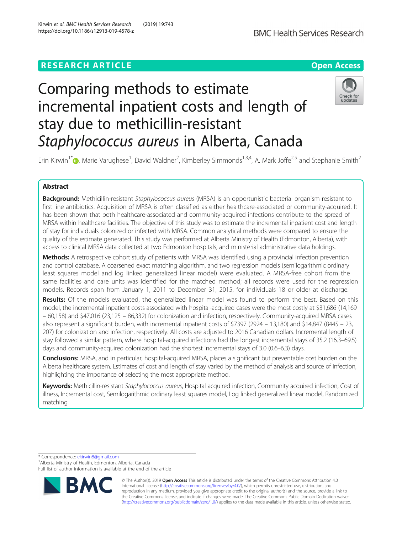## **RESEARCH ARTICLE Example 2014 12:30 The Contract of Contract ACCESS**



# Comparing methods to estimate incremental inpatient costs and length of stay due to methicillin-resistant Staphylococcus aureus in Alberta, Canada



Erin Kirwin<sup>1\*</sup>�[,](http://orcid.org/0000-0001-6957-7236) Marie Varughese<sup>1</sup>, David Waldner<sup>2</sup>, Kimberley Simmonds<sup>1,3,4</sup>, A. Mark Joffe<sup>2,5</sup> and Stephanie Smith<sup>2</sup>

## Abstract

Background: Methicillin-resistant Staphylococcus aureus (MRSA) is an opportunistic bacterial organism resistant to first line antibiotics. Acquisition of MRSA is often classified as either healthcare-associated or community-acquired. It has been shown that both healthcare-associated and community-acquired infections contribute to the spread of MRSA within healthcare facilities. The objective of this study was to estimate the incremental inpatient cost and length of stay for individuals colonized or infected with MRSA. Common analytical methods were compared to ensure the quality of the estimate generated. This study was performed at Alberta Ministry of Health (Edmonton, Alberta), with access to clinical MRSA data collected at two Edmonton hospitals, and ministerial administrative data holdings.

Methods: A retrospective cohort study of patients with MRSA was identified using a provincial infection prevention and control database. A coarsened exact matching algorithm, and two regression models (semilogarithmic ordinary least squares model and log linked generalized linear model) were evaluated. A MRSA-free cohort from the same facilities and care units was identified for the matched method; all records were used for the regression models. Records span from January 1, 2011 to December 31, 2015, for individuals 18 or older at discharge.

Results: Of the models evaluated, the generalized linear model was found to perform the best. Based on this model, the incremental inpatient costs associated with hospital-acquired cases were the most costly at \$31,686 (14,169 – 60,158) and \$47,016 (23,125 – 86,332) for colonization and infection, respectively. Community-acquired MRSA cases also represent a significant burden, with incremental inpatient costs of \$7397 (2924 – 13,180) and \$14,847 (8445 – 23, 207) for colonization and infection, respectively. All costs are adjusted to 2016 Canadian dollars. Incremental length of stay followed a similar pattern, where hospital-acquired infections had the longest incremental stays of 35.2 (16.3–69.5) days and community-acquired colonization had the shortest incremental stays of 3.0 (0.6–6.3) days.

**Conclusions:** MRSA, and in particular, hospital-acquired MRSA, places a significant but preventable cost burden on the Alberta healthcare system. Estimates of cost and length of stay varied by the method of analysis and source of infection, highlighting the importance of selecting the most appropriate method.

Keywords: Methicillin-resistant Staphylococcus aureus, Hospital acquired infection, Community acquired infection, Cost of illness, Incremental cost, Semilogarithmic ordinary least squares model, Log linked generalized linear model, Randomized matching

\* Correspondence: [ekirwin8@gmail.com](mailto:ekirwin8@gmail.com) <sup>1</sup>

<sup>1</sup> Alberta Ministry of Health, Edmonton, Alberta, Canada

Full list of author information is available at the end of the article



© The Author(s). 2019 **Open Access** This article is distributed under the terms of the Creative Commons Attribution 4.0 International License [\(http://creativecommons.org/licenses/by/4.0/](http://creativecommons.org/licenses/by/4.0/)), which permits unrestricted use, distribution, and reproduction in any medium, provided you give appropriate credit to the original author(s) and the source, provide a link to the Creative Commons license, and indicate if changes were made. The Creative Commons Public Domain Dedication waiver [\(http://creativecommons.org/publicdomain/zero/1.0/](http://creativecommons.org/publicdomain/zero/1.0/)) applies to the data made available in this article, unless otherwise stated.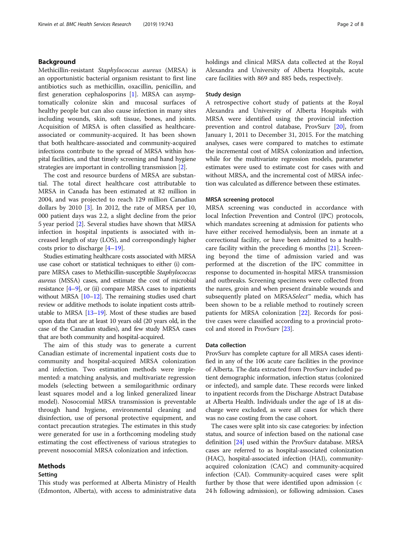## Background

Methicillin-resistant Staphylococcus aureus (MRSA) is an opportunistic bacterial organism resistant to first line antibiotics such as methicillin, oxacillin, penicillin, and first generation cephalosporins [[1\]](#page-7-0). MRSA can asymptomatically colonize skin and mucosal surfaces of healthy people but can also cause infection in many sites including wounds, skin, soft tissue, bones, and joints. Acquisition of MRSA is often classified as healthcareassociated or community-acquired. It has been shown that both healthcare-associated and community-acquired infections contribute to the spread of MRSA within hospital facilities, and that timely screening and hand hygiene strategies are important in controlling transmission [\[2](#page-7-0)].

The cost and resource burdens of MRSA are substantial. The total direct healthcare cost attributable to MRSA in Canada has been estimated at 82 million in 2004, and was projected to reach 129 million Canadian dollars by 2010 [\[3](#page-7-0)]. In 2012, the rate of MRSA per 10, 000 patient days was 2.2, a slight decline from the prior 5 year period [\[2\]](#page-7-0). Several studies have shown that MRSA infection in hospital inpatients is associated with increased length of stay (LOS), and correspondingly higher costs prior to discharge [[4](#page-7-0)–[19](#page-7-0)].

Studies estimating healthcare costs associated with MRSA use case cohort or statistical techniques to either (i) compare MRSA cases to Methicillin-susceptible Staphylococcus aureus (MSSA) cases, and estimate the cost of microbial resistance  $[4-9]$  $[4-9]$  $[4-9]$  $[4-9]$ , or (ii) compare MRSA cases to inpatients without MRSA [\[10](#page-7-0)–[12\]](#page-7-0). The remaining studies used chart review or additive methods to isolate inpatient costs attributable to MRSA [\[13](#page-7-0)–[19\]](#page-7-0). Most of these studies are based upon data that are at least 10 years old (20 years old, in the case of the Canadian studies), and few study MRSA cases that are both community and hospital-acquired.

The aim of this study was to generate a current Canadian estimate of incremental inpatient costs due to community and hospital-acquired MRSA colonization and infection. Two estimation methods were implemented: a matching analysis, and multivariate regression models (selecting between a semilogarithmic ordinary least squares model and a log linked generalized linear model). Nosocomial MRSA transmission is preventable through hand hygiene, environmental cleaning and disinfection, use of personal protective equipment, and contact precaution strategies. The estimates in this study were generated for use in a forthcoming modeling study estimating the cost effectiveness of various strategies to prevent nosocomial MRSA colonization and infection.

## Methods

## Setting

This study was performed at Alberta Ministry of Health (Edmonton, Alberta), with access to administrative data

holdings and clinical MRSA data collected at the Royal Alexandra and University of Alberta Hospitals, acute care facilities with 869 and 885 beds, respectively.

## Study design

A retrospective cohort study of patients at the Royal Alexandra and University of Alberta Hospitals with MRSA were identified using the provincial infection prevention and control database, ProvSurv [\[20\]](#page-7-0), from January 1, 2011 to December 31, 2015. For the matching analyses, cases were compared to matches to estimate the incremental cost of MRSA colonization and infection, while for the multivariate regression models, parameter estimates were used to estimate cost for cases with and without MRSA, and the incremental cost of MRSA infection was calculated as difference between these estimates.

## MRSA screening protocol

MRSA screening was conducted in accordance with local Infection Prevention and Control (IPC) protocols, which mandates screening at admission for patients who have either received hemodialysis, been an inmate at a correctional facility, or have been admitted to a healthcare facility within the preceding 6 months [\[21](#page-7-0)]. Screening beyond the time of admission varied and was performed at the discretion of the IPC committee in response to documented in-hospital MRSA transmission and outbreaks. Screening specimens were collected from the nares, groin and when present drainable wounds and subsequently plated on MRSASelect™ media, which has been shown to be a reliable method to routinely screen patients for MRSA colonization [\[22\]](#page-7-0). Records for positive cases were classified according to a provincial protocol and stored in ProvSurv [\[23](#page-7-0)].

## Data collection

ProvSurv has complete capture for all MRSA cases identified in any of the 106 acute care facilities in the province of Alberta. The data extracted from ProvSurv included patient demographic information, infection status (colonized or infected), and sample date. These records were linked to inpatient records from the Discharge Abstract Database at Alberta Health. Individuals under the age of 18 at discharge were excluded, as were all cases for which there was no case costing from the case cohort.

The cases were split into six case categories: by infection status, and source of infection based on the national case definition [[24](#page-7-0)] used within the ProvSurv database. MRSA cases are referred to as hospital-associated colonization (HAC), hospital-associated infection (HAI), communityacquired colonization (CAC) and community-acquired infection (CAI). Community-acquired cases were split further by those that were identified upon admission (< 24 h following admission), or following admission. Cases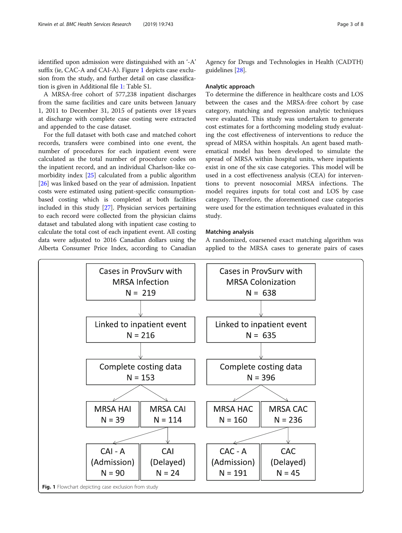identified upon admission were distinguished with an '-A' suffix (ie, CAC-A and CAI-A). Figure 1 depicts case exclusion from the study, and further detail on case classification is given in Additional file [1:](#page-6-0) Table S1.

A MRSA-free cohort of 577,238 inpatient discharges from the same facilities and care units between January 1, 2011 to December 31, 2015 of patients over 18 years at discharge with complete case costing were extracted and appended to the case dataset.

For the full dataset with both case and matched cohort records, transfers were combined into one event, the number of procedures for each inpatient event were calculated as the total number of procedure codes on the inpatient record, and an individual Charlson-like comorbidity index [\[25](#page-7-0)] calculated from a public algorithm [[26\]](#page-7-0) was linked based on the year of admission. Inpatient costs were estimated using patient-specific consumptionbased costing which is completed at both facilities included in this study [\[27](#page-7-0)]. Physician services pertaining to each record were collected from the physician claims dataset and tabulated along with inpatient case costing to calculate the total cost of each inpatient event. All costing data were adjusted to 2016 Canadian dollars using the Alberta Consumer Price Index, according to Canadian

Agency for Drugs and Technologies in Health (CADTH) guidelines [\[28](#page-7-0)].

## Analytic approach

To determine the difference in healthcare costs and LOS between the cases and the MRSA-free cohort by case category, matching and regression analytic techniques were evaluated. This study was undertaken to generate cost estimates for a forthcoming modeling study evaluating the cost effectiveness of interventions to reduce the spread of MRSA within hospitals. An agent based mathematical model has been developed to simulate the spread of MRSA within hospital units, where inpatients exist in one of the six case categories. This model will be used in a cost effectiveness analysis (CEA) for interventions to prevent nosocomial MRSA infections. The model requires inputs for total cost and LOS by case category. Therefore, the aforementioned case categories were used for the estimation techniques evaluated in this study.

## Matching analysis

A randomized, coarsened exact matching algorithm was applied to the MRSA cases to generate pairs of cases

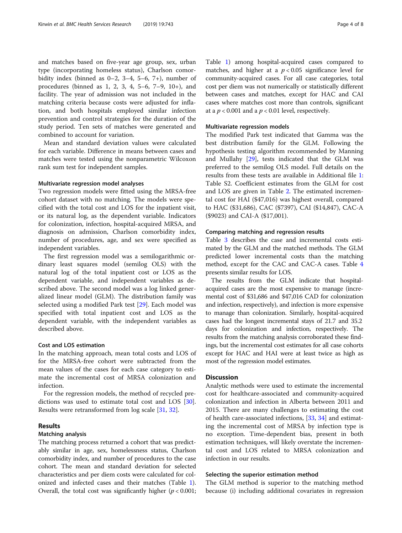and matches based on five-year age group, sex, urban type (incorporating homeless status), Charlson comorbidity index (binned as  $0-2$ ,  $3-4$ ,  $5-6$ ,  $7+$ ), number of procedures (binned as 1, 2, 3, 4, 5–6, 7–9, 10+), and facility. The year of admission was not included in the matching criteria because costs were adjusted for inflation, and both hospitals employed similar infection prevention and control strategies for the duration of the study period. Ten sets of matches were generated and combined to account for variation.

Mean and standard deviation values were calculated for each variable. Difference in means between cases and matches were tested using the nonparametric Wilcoxon rank sum test for independent samples.

#### Multivariate regression model analyses

Two regression models were fitted using the MRSA-free cohort dataset with no matching. The models were specified with the total cost and LOS for the inpatient visit, or its natural log, as the dependent variable. Indicators for colonization, infection, hospital-acquired MRSA, and diagnosis on admission, Charlson comorbidity index, number of procedures, age, and sex were specified as independent variables.

The first regression model was a semilogarithmic ordinary least squares model (semilog OLS) with the natural log of the total inpatient cost or LOS as the dependent variable, and independent variables as described above. The second model was a log linked generalized linear model (GLM). The distribution family was selected using a modified Park test [\[29\]](#page-7-0). Each model was specified with total inpatient cost and LOS as the dependent variable, with the independent variables as described above.

## Cost and LOS estimation

In the matching approach, mean total costs and LOS of for the MRSA-free cohort were subtracted from the mean values of the cases for each case category to estimate the incremental cost of MRSA colonization and infection.

For the regression models, the method of recycled predictions was used to estimate total cost and LOS [\[30](#page-7-0)]. Results were retransformed from log scale [[31](#page-7-0), [32](#page-7-0)].

## Results

## Matching analysis

The matching process returned a cohort that was predictably similar in age, sex, homelessness status, Charlson comorbidity index, and number of procedures to the case cohort. The mean and standard deviation for selected characteristics and per diem costs were calculated for colonized and infected cases and their matches (Table [1](#page-4-0)). Overall, the total cost was significantly higher ( $p < 0.001$ ;

Table [1\)](#page-4-0) among hospital-acquired cases compared to matches, and higher at a  $p < 0.05$  significance level for community-acquired cases. For all case categories, total cost per diem was not numerically or statistically different between cases and matches, except for HAC and CAI cases where matches cost more than controls, significant at a  $p < 0.001$  and a  $p < 0.01$  level, respectively.

### Multivariate regression models

The modified Park test indicated that Gamma was the best distribution family for the GLM. Following the hypothesis testing algorithm recommended by Manning and Mullahy [[29\]](#page-7-0), tests indicated that the GLM was preferred to the semilog OLS model. Full details on the results from these tests are available in Additional file [1](#page-6-0): Table S2. Coefficient estimates from the GLM for cost and LOS are given in Table [2.](#page-4-0) The estimated incremental cost for HAI (\$47,016) was highest overall, compared to HAC (\$31,686), CAC (\$7397), CAI (\$14,847), CAC-A (\$9023) and CAI-A (\$17,001).

### Comparing matching and regression results

Table [3](#page-5-0) describes the case and incremental costs estimated by the GLM and the matched methods. The GLM predicted lower incremental costs than the matching method, except for the CAC and CAC-A cases. Table [4](#page-5-0) presents similar results for LOS.

The results from the GLM indicate that hospitalacquired cases are the most expensive to manage (incremental cost of \$31,686 and \$47,016 CAD for colonization and infection, respectively), and infection is more expensive to manage than colonization. Similarly, hospital-acquired cases had the longest incremental stays of 21.7 and 35.2 days for colonization and infection, respectively. The results from the matching analysis corroborated these findings, but the incremental cost estimates for all case cohorts except for HAC and HAI were at least twice as high as most of the regression model estimates.

## **Discussion**

Analytic methods were used to estimate the incremental cost for healthcare-associated and community-acquired colonization and infection in Alberta between 2011 and 2015. There are many challenges to estimating the cost of health care-associated infections, [\[33](#page-7-0), [34](#page-7-0)] and estimating the incremental cost of MRSA by infection type is no exception. Time-dependent bias, present in both estimation techniques, will likely overstate the incremental cost and LOS related to MRSA colonization and infection in our results.

## Selecting the superior estimation method

The GLM method is superior to the matching method because (i) including additional covariates in regression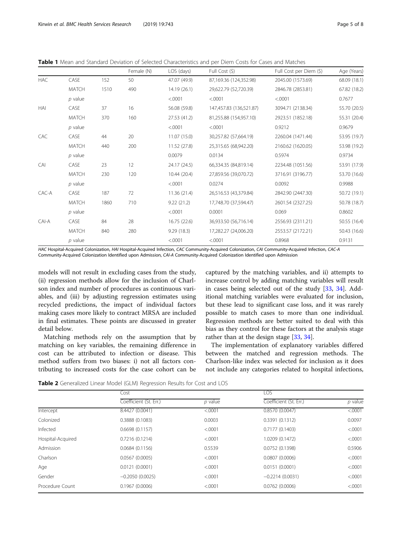<span id="page-4-0"></span>Table 1 Mean and Standard Deviation of Selected Characteristics and per Diem Costs for Cases and Matches

|            |              |      | Female (N) | LOS (days)   | Full Cost (\$)          | Full Cost per Diem (\$) | Age (Years)  |
|------------|--------------|------|------------|--------------|-------------------------|-------------------------|--------------|
| <b>HAC</b> | CASE         | 152  | 50         | 47.07 (49.9) | 87,169.36 (124,352.98)  | 2045.00 (1573.69)       | 68.09 (18.1) |
|            | <b>MATCH</b> | 1510 | 490        | 14.19(26.1)  | 29,622.79 (52,720.39)   | 2846.78 (2853.81)       | 67.82 (18.2) |
|            | $p$ value    |      |            | < .0001      | < .0001                 | < .0001                 | 0.7677       |
| <b>HAI</b> | CASE         | 37   | 16         | 56.08 (59.8) | 147,457.83 (136,521.87) | 3094.71 (2138.34)       | 55.70 (20.5) |
|            | <b>MATCH</b> | 370  | 160        | 27.53 (41.2) | 81,255.88 (154,957.10)  | 2923.51 (1852.18)       | 55.31 (20.4) |
|            | $p$ value    |      |            | < .0001      | < .0001                 | 0.9212                  | 0.9679       |
| <b>CAC</b> | CASE         | 44   | 20         | 11.07(15.0)  | 30,257.82 (57,664.19)   | 2260.04 (1471.44)       | 53.95 (19.7) |
|            | <b>MATCH</b> | 440  | 200        | 11.52 (27.8) | 25,315.65 (68,942.20)   | 2160.62 (1620.05)       | 53.98 (19.2) |
|            | $p$ value    |      |            | 0.0079       | 0.0134                  | 0.5974                  | 0.9734       |
| CAI        | CASE         | 23   | 12         | 24.17 (24.5) | 66,334.35 (84,819.14)   | 2234.48 (1051.56)       | 53.91 (17.9) |
|            | <b>MATCH</b> | 230  | 120        | 10.44 (20.4) | 27,859.56 (39,070.72)   | 3716.91 (3196.77)       | 53.70 (16.6) |
|            | $p$ value    |      |            | < .0001      | 0.0274                  | 0.0092                  | 0.9988       |
| CAC-A      | CASE         | 187  | 72         | 11.36 (21.4) | 26,516.53 (43,379.84)   | 2842.90 (2447.30)       | 50.72 (19.1) |
|            | <b>MATCH</b> | 1860 | 710        | 9.22(21.2)   | 17,748.70 (37,594.47)   | 2601.54 (2327.25)       | 50.78 (18.7) |
|            | $p$ value    |      |            | < .0001      | 0.0001                  | 0.069                   | 0.8602       |
| CAI-A      | CASE         | 84   | 28         | 16.75(22.6)  | 36,933.50 (56,716.14)   | 2556.93 (2311.21)       | 50.55 (16.4) |
|            | <b>MATCH</b> | 840  | 280        | 9.29(18.3)   | 17,282.27 (24,006.20)   | 2553.57 (2172.21)       | 50.43 (16.6) |
|            | $p$ value    |      |            | < .0001      | < .0001                 | 0.8968                  | 0.9131       |

HAC Hospital-Acquired Colonization, HAI Hospital-Acquired Infection, CAC Community-Acquired Colonization, CAI Community-Acquired Infection, CAC-A Community-Acquired Colonization Identified upon Admission, CAI-A Community-Acquired Colonization Identified upon Admission

models will not result in excluding cases from the study, (ii) regression methods allow for the inclusion of Charlson index and number of procedures as continuous variables, and (iii) by adjusting regression estimates using recycled predictions, the impact of individual factors making cases more likely to contract MRSA are included in final estimates. These points are discussed in greater detail below.

Matching methods rely on the assumption that by matching on key variables, the remaining difference in cost can be attributed to infection or disease. This method suffers from two biases: i) not all factors contributing to increased costs for the case cohort can be

captured by the matching variables, and ii) attempts to increase control by adding matching variables will result in cases being selected out of the study [[33,](#page-7-0) [34\]](#page-7-0). Additional matching variables were evaluated for inclusion, but these lead to significant case loss, and it was rarely possible to match cases to more than one individual. Regression methods are better suited to deal with this bias as they control for these factors at the analysis stage rather than at the design stage [\[33](#page-7-0), [34](#page-7-0)].

The implementation of explanatory variables differed between the matched and regression methods. The Charlson-like index was selected for inclusion as it does not include any categories related to hospital infections,

Table 2 Generalized Linear Model (GLM) Regression Results for Cost and LOS

|                   | Cost                   |           | <b>LOS</b>             |           |
|-------------------|------------------------|-----------|------------------------|-----------|
|                   | Coefficient (St. Err.) | $p$ value | Coefficient (St. Err.) | $p$ value |
| Intercept         | 8.4427 (0.0041)        | < .0001   | 0.8570(0.0047)         | < .0001   |
| Colonized         | 0.3888 (0.1083)        | 0.0003    | 0.3391(0.1312)         | 0.0097    |
| Infected          | 0.6698(0.1157)         | < .0001   | 0.7177(0.1403)         | < .0001   |
| Hospital-Acquired | 0.7216(0.1214)         | < .0001   | 1.0209 (0.1472)        | < .0001   |
| Admission         | 0.0684(0.1156)         | 0.5539    | 0.0752(0.1398)         | 0.5906    |
| Charlson          | 0.0567(0.0005)         | < .0001   | 0.0807(0.0006)         | < .0001   |
| Age               | 0.0121(0.0001)         | < .0001   | 0.0151(0.0001)         | < .0001   |
| Gender            | $-0.2050(0.0025)$      | < .0001   | $-0.2214(0.0031)$      | < .0001   |
| Procedure Count   | 0.1967(0.0006)         | < .0001   | 0.0762(0.0006)         | < .0001   |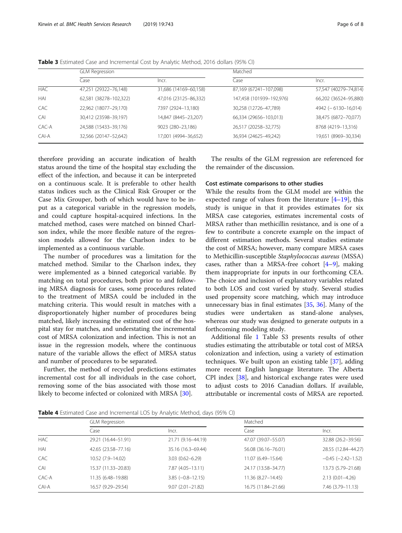|            | <b>GLM Regression</b>  |                       | Matched                  |                         |  |
|------------|------------------------|-----------------------|--------------------------|-------------------------|--|
|            | Case                   | Incr.                 | Case                     | Incr.                   |  |
| <b>HAC</b> | 47,251 (29322-76,148)  | 31,686 (14169-60,158) | 87,169 (67241-107,098)   | 57,547 (40279-74,814)   |  |
| HAI        | 62,581 (38278-102,322) | 47,016 (23125-86,332) | 147,458 (101939-192,976) | 66,202 (36524-95,880)   |  |
| CAC        | 22,962 (18077-29,170)  | 7397 (2924-13,180)    | 30,258 (12726-47,789)    | $4942 (-6130 - 16,014)$ |  |
| CAI        | 30,412 (23598-39,197)  | 14,847 (8445-23,207)  | 66,334 (29656-103,013)   | 38,475 (6872-70,077)    |  |
| CAC-A      | 24,588 (15433-39,176)  | 9023 (280-23,186)     | 26,517 (20258-32,775)    | 8768 (4219-13,316)      |  |
| CAI-A      | 32,566 (20147-52,642)  | 17,001 (4994-36,652)  | 36,934 (24625-49,242)    | 19,651 (8969-30,334)    |  |

<span id="page-5-0"></span>Table 3 Estimated Case and Incremental Cost by Analytic Method, 2016 dollars (95% CI)

therefore providing an accurate indication of health status around the time of the hospital stay excluding the effect of the infection, and because it can be interpreted on a continuous scale. It is preferable to other health status indices such as the Clinical Risk Grouper or the Case Mix Grouper, both of which would have to be input as a categorical variable in the regression models, and could capture hospital-acquired infections. In the matched method, cases were matched on binned Charlson index, while the more flexible nature of the regression models allowed for the Charlson index to be implemented as a continuous variable.

The number of procedures was a limitation for the matched method. Similar to the Charlson index, they were implemented as a binned categorical variable. By matching on total procedures, both prior to and following MRSA diagnosis for cases, some procedures related to the treatment of MRSA could be included in the matching criteria. This would result in matches with a disproportionately higher number of procedures being matched, likely increasing the estimated cost of the hospital stay for matches, and understating the incremental cost of MRSA colonization and infection. This is not an issue in the regression models, where the continuous nature of the variable allows the effect of MRSA status and number of procedures to be separated.

Further, the method of recycled predictions estimates incremental cost for all individuals in the case cohort, removing some of the bias associated with those most likely to become infected or colonized with MRSA [[30\]](#page-7-0).

The results of the GLM regression are referenced for the remainder of the discussion.

## Cost estimate comparisons to other studies

While the results from the GLM model are within the expected range of values from the literature [\[4](#page-7-0)–[19\]](#page-7-0), this study is unique in that it provides estimates for six MRSA case categories, estimates incremental costs of MRSA rather than methicillin resistance, and is one of a few to contribute a concrete example on the impact of different estimation methods. Several studies estimate the cost of MRSA; however, many compare MRSA cases to Methicillin-susceptible Staphylococcus aureus (MSSA) cases, rather than a MRSA-free cohort  $[4-9]$  $[4-9]$  $[4-9]$ , making them inappropriate for inputs in our forthcoming CEA. The choice and inclusion of explanatory variables related to both LOS and cost varied by study. Several studies used propensity score matching, which may introduce unnecessary bias in final estimates [[35,](#page-7-0) [36\]](#page-7-0). Many of the studies were undertaken as stand-alone analyses, whereas our study was designed to generate outputs in a forthcoming modeling study.

Additional file [1](#page-6-0) Table S3 presents results of other studies estimating the attributable or total cost of MRSA colonization and infection, using a variety of estimation techniques. We built upon an existing table [[37](#page-7-0)], adding more recent English language literature. The Alberta CPI index [\[38](#page-7-0)], and historical exchange rates were used to adjust costs to 2016 Canadian dollars. If available, attributable or incremental costs of MRSA are reported.

Table 4 Estimated Case and Incremental LOS by Analytic Method, days (95% CI)

|            | <b>GLM Regression</b> |                       | Matched             |                          |  |
|------------|-----------------------|-----------------------|---------------------|--------------------------|--|
|            | Case                  | Incr.                 | Case                | Incr.                    |  |
| <b>HAC</b> | 29.21 (16.44-51.91)   | 21.71 (9.16-44.19)    | 47.07 (39.07-55.07) | 32.88 (26.2-39.56)       |  |
| HAI        | 42.65 (23.58-77.16)   | 35.16 (16.3-69.44)    | 56.08 (36.16-76.01) | 28.55 (12.84-44.27)      |  |
| <b>CAC</b> | 10.52 (7.9-14.02)     | $3.03(0.62 - 6.29)$   | 11.07 (6.49-15.64)  | $-0.45$ ( $-2.42-1.52$ ) |  |
| CAI        | 15.37 (11.33-20.83)   | 7.87 (4.05-13.11)     | 24.17 (13.58-34.77) | 13.73 (5.79 - 21.68)     |  |
| CAC-A      | 11.35 (6.48-19.88)    | $3.85 (-0.8 - 12.15)$ | 11.36 (8.27-14.45)  | $2.13(0.01 - 4.26)$      |  |
| CAI-A      | 16.57 (9.29-29.54)    | $9.07(2.01 - 21.82)$  | 16.75 (11.84-21.66) | 7.46 (3.79-11.13)        |  |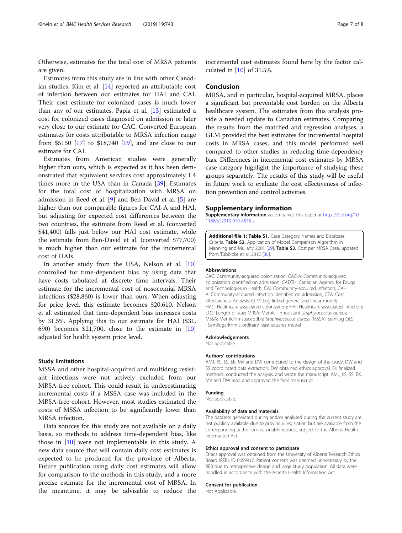<span id="page-6-0"></span>Otherwise, estimates for the total cost of MRSA patients are given.

Estimates from this study are in line with other Canadian studies. Kim et al. [[14\]](#page-7-0) reported an attributable cost of infection between our estimates for HAI and CAI. Their cost estimate for colonized cases is much lower than any of our estimates. Papia et al. [[13\]](#page-7-0) estimated a cost for colonized cases diagnosed on admission or later very close to our estimate for CAC. Converted European estimates for costs attributable to MRSA infection range from \$5150 [\[17](#page-7-0)] to \$18,740 [[19\]](#page-7-0), and are close to our estimate for CAI.

Estimates from American studies were generally higher than ours, which is expected as it has been demonstrated that equivalent services cost approximately 1.4 times more in the USA than in Canada [\[39](#page-7-0)]. Estimates for the total cost of hospitalization with MRSA on admission in Reed et al. [\[9\]](#page-7-0) and Ben-David et al. [[5](#page-7-0)] are higher than our comparable figures for CAI-A and HAI, but adjusting for expected cost differences between the two countries, the estimate from Reed et al. (converted \$41,400) falls just below our HAI cost estimate, while the estimate from Ben-David et al. (converted \$77,700) is much higher than our estimate for the incremental cost of HAIs.

In another study from the USA, Nelson et al. [[10](#page-7-0)] controlled for time-dependent bias by using data that have costs tabulated at discrete time intervals. Their estimate for the incremental cost of nosocomial MRSA infections (\$28,860) is lower than ours. When adjusting for price level, this estimate becomes \$20,610. Nelson et al. estimated that time-dependent bias increases costs by 31.5%. Applying this to our estimate for HAI (\$31, 690) becomes \$21,700, close to the estimate in [[10](#page-7-0)] adjusted for health system price level.

#### Study limitations

MSSA and other hospital-acquired and multidrug resistant infections were not actively excluded from our MRSA-free cohort. This could result in underestimating incremental costs if a MSSA case was included in the MRSA-free cohort. However, most studies estimated the costs of MSSA infection to be significantly lower than MRSA infection.

Data sources for this study are not available on a daily basis, so methods to address time-dependent bias, like those in [[10](#page-7-0)] were not implementable in this study. A new data source that will contain daily cost estimates is expected to be produced for the province of Alberta. Future publication using daily cost estimates will allow for comparison to the methods in this study, and a more precise estimate for the incremental cost of MRSA. In the meantime, it may be advisable to reduce the incremental cost estimates found here by the factor calculated in [\[10](#page-7-0)] of 31.5%.

## Conclusion

MRSA, and in particular, hospital-acquired MRSA, places a significant but preventable cost burden on the Alberta healthcare system. The estimates from this analysis provide a needed update to Canadian estimates. Comparing the results from the matched and regression analyses, a GLM provided the best estimates for incremental hospital costs in MRSA cases, and this model performed well compared to other studies in reducing time-dependency bias. Differences in incremental cost estimates by MRSA case category highlight the importance of studying these groups separately. The results of this study will be useful in future work to evaluate the cost effectiveness of infection prevention and control activities.

#### Supplementary information

Supplementary information accompanies this paper at [https://doi.org/10.](https://doi.org/10.1186/s12913-019-4578-z) [1186/s12913-019-4578-z](https://doi.org/10.1186/s12913-019-4578-z).

Additional file 1: Table S1. Case Category Names and Database Criteria. Table S2. Application of Model Comparison Algorithm in Manning and Mullahy 2001 [[29](#page-7-0)]. Table S3. Cost per MRSA Case, updated from Tübbicke et al. 2012 [[36](#page-7-0)].

#### Abbreviations

CAC: Community-acquired colonization; CAC-A: Community-acquired colonization identified on admission; CADTH: Canadian Agency for Drugs and Technologies in Health; CAI: Community-acquired infection; CAI-A: Community-acquired infection identified on admission; CEA: Cost Effectiveness Analysis; GLM: Log linked generalized linear model; HAC: Healthcare associated colonization; HAI: Healthcare associated infection; LOS: Length of stay; MRSA: Methicillin-resistant Staphylococcus aureus; MSSA: Methicillin-susceptible Staphylococcus aureus (MSSA); semilog OLS : Semilogarithmic ordinary least squares model

## Acknowledgements

Not applicable.

#### Authors' contributions

AMJ, KS, SS, EK, MV and DW contributed to the design of the study. DW and SS coordinated data extraction. DW obtained ethics approval. EK finalized methods, conducted the analysis, and wrote the manuscript. AMJ, KS, SS, EK, MV and DW read and approved the final manuscript.

## Funding

Not applicable.

#### Availability of data and materials

The datasets generated during and/or analysed during the current study are not publicly available due to provincial legislation but are available from the corresponding author on reasonable request, subject to the Alberta Health Information Act.

#### Ethics approval and consent to participate

Ethics approval was obtained from the University of Alberta Research Ethics Board (REB), ID 0059817. Patient consent was deemed unnecessary by the REB due to retrospective design and large study population. All data were handled in accordance with the Alberta Health Information Act.

#### Consent for publication

Not Applicable.